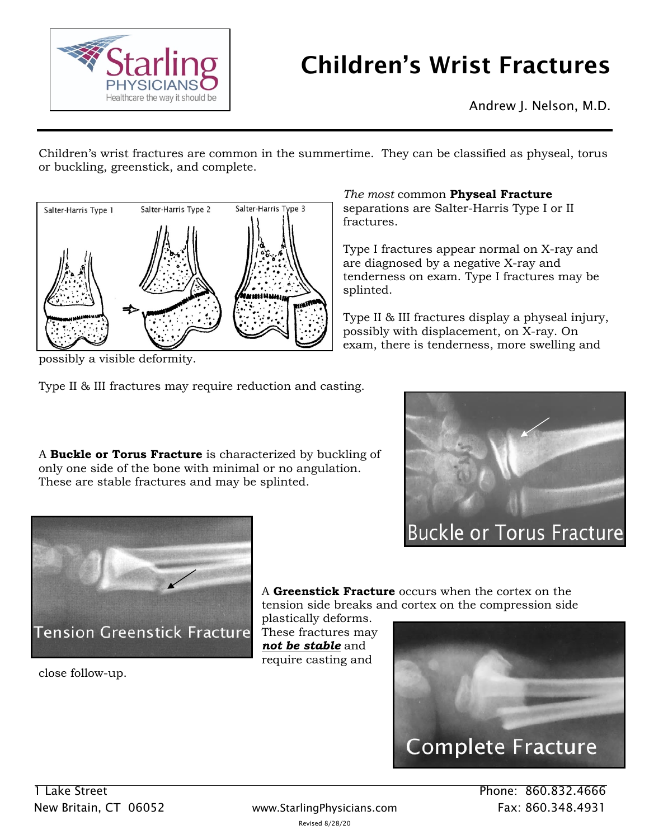

## Children's Wrist Fractures

*The most* common **Physeal Fracture** separations are Salter-Harris Type I or II

are diagnosed by a negative X-ray and

Type I fractures appear normal on X-ray and

tenderness on exam. Type I fractures may be

Type II & III fractures display a physeal injury, possibly with displacement, on X-ray. On exam, there is tenderness, more swelling and

Andrew J. Nelson, M.D.

Children's wrist fractures are common in the summertime. They can be classified as physeal, torus or buckling, greenstick, and complete.

fractures.

splinted.



possibly a visible deformity.

Type II & III fractures may require reduction and casting.

A **Buckle or Torus Fracture** is characterized by buckling of only one side of the bone with minimal or no angulation. These are stable fractures and may be splinted.





A **Greenstick Fracture** occurs when the cortex on the tension side breaks and cortex on the compression side

plastically deforms. These fractures may *not be stable* and require casting and

close follow-up.

**Complete Fracture** 

New Britain, CT 06052 www.StarlingPhysicians.com Fax: 860.348.4931 Revised 8/28/20

1 Lake Street Phone: 860.832.4666